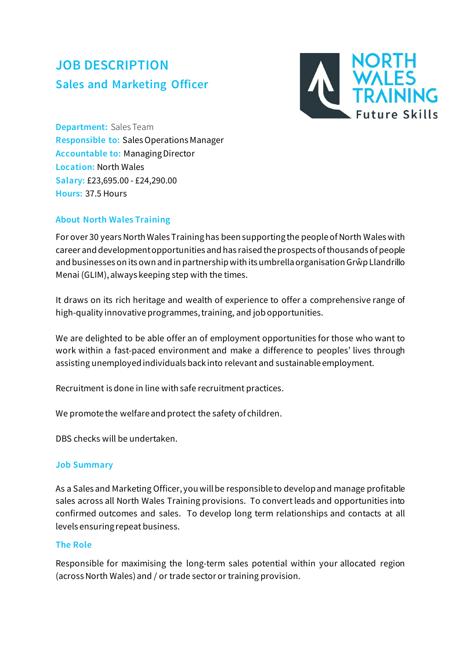# **JOB DESCRIPTION Sales and Marketing Officer**



**Department:** Sales Team **Responsible to:** Sales Operations Manager **Accountable to:** Managing Director **Location:** North Wales **Salary:** £23,695.00 - £24,290.00 **Hours:** 37.5 Hours

## **About North Wales Training**

For over 30 years North Wales Training has been supporting the people of North Wales with career and development opportunities and has raised the prospects of thousands of people and businesses on its own and in partnership with its umbrella organisation GrŵpLlandrillo Menai (GLIM), always keeping step with the times.

It draws on its rich heritage and wealth of experience to offer a comprehensive range of high-quality innovative programmes, training, and job opportunities.

We are delighted to be able offer an of employment opportunities for those who want to work within a fast-paced environment and make a difference to peoples' lives through assisting unemployed individuals back into relevant and sustainable employment.

Recruitment is done in line with safe recruitment practices.

We promote the welfare and protect the safety of children.

DBS checks will be undertaken.

### **Job Summary**

As a Sales and Marketing Officer, you will be responsible to develop and manage profitable sales across all North Wales Training provisions. To convert leads and opportunities into confirmed outcomes and sales. To develop long term relationships and contacts at all levels ensuring repeat business.

### **The Role**

Responsible for maximising the long-term sales potential within your allocated region (across North Wales) and / or trade sector or training provision.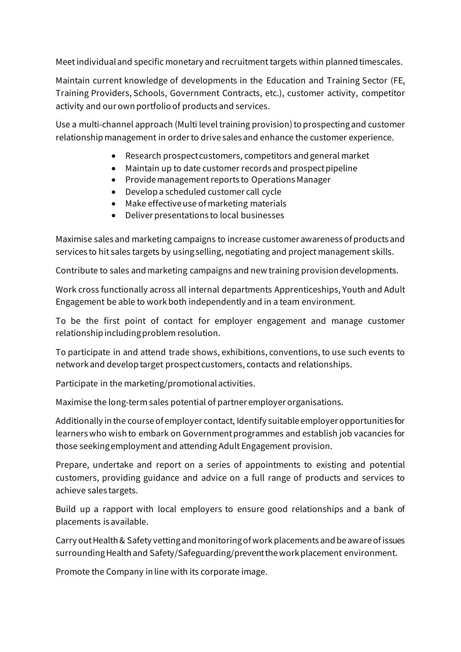Meet individual and specific monetary and recruitment targets within planned timescales.

Maintain current knowledge of developments in the Education and Training Sector (FE, Training Providers, Schools, Government Contracts, etc.), customer activity, competitor activity and our own portfolio of products and services.

Use a multi-channel approach (Multi level training provision) to prospecting and customer relationship management in order to drive sales and enhance the customer experience.

- Research prospect customers, competitors and general market
- Maintain up to date customer records and prospect pipeline
- Provide management reports to Operations Manager
- Develop a scheduled customer call cycle
- Make effective use of marketing materials
- Deliver presentations to local businesses

Maximise sales and marketing campaigns to increase customer awareness of products and services to hit sales targets by using selling, negotiating and project management skills.

Contribute to sales and marketing campaigns and new training provision developments.

Work cross functionally across all internal departments Apprenticeships, Youth and Adult Engagement be able to work both independently and in a team environment.

To be the first point of contact for employer engagement and manage customer relationship including problem resolution.

To participate in and attend trade shows, exhibitions, conventions, to use such events to network and develop target prospect customers, contacts and relationships.

Participate in the marketing/promotional activities.

Maximise the long-term sales potential of partner employer organisations.

Additionally in the course of employer contact, Identify suitable employer opportunities for learners who wish to embark on Government programmes and establish job vacancies for those seeking employment and attending Adult Engagement provision.

Prepare, undertake and report on a series of appointments to existing and potential customers, providing guidance and advice on a full range of products and services to achieve sales targets.

Build up a rapport with local employers to ensure good relationships and a bank of placements is available.

Carry out Health & Safety vetting and monitoring of work placements and be aware of issues surrounding Health and Safety/Safeguarding/prevent the work placement environment.

Promote the Company in line with its corporate image.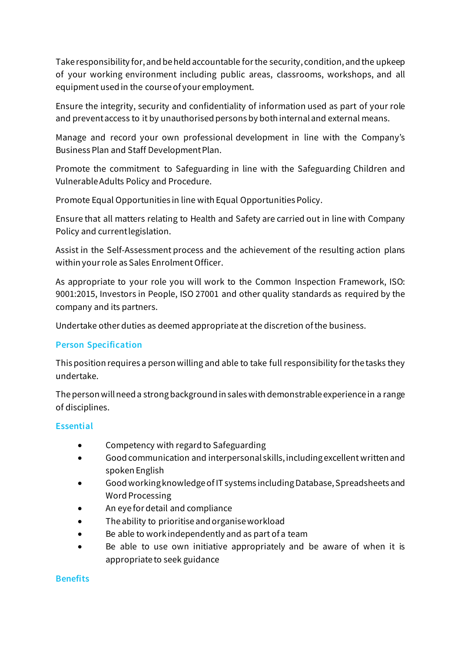Take responsibility for, and be held accountable for the security, condition, and the upkeep of your working environment including public areas, classrooms, workshops, and all equipment used in the course of your employment.

Ensure the integrity, security and confidentiality of information used as part of your role and prevent access to it by unauthorised persons by both internal and external means.

Manage and record your own professional development in line with the Company's Business Plan and Staff Development Plan.

Promote the commitment to Safeguarding in line with the Safeguarding Children and Vulnerable Adults Policy and Procedure.

Promote Equal Opportunities in line with Equal Opportunities Policy.

Ensure that all matters relating to Health and Safety are carried out in line with Company Policy and current legislation.

Assist in the Self-Assessment process and the achievement of the resulting action plans within your role as Sales Enrolment Officer.

As appropriate to your role you will work to the Common Inspection Framework, ISO: 9001:2015, Investors in People, ISO 27001 and other quality standards as required by the company and its partners.

Undertake other duties as deemed appropriate at the discretion of the business.

## **Person Specification**

This position requires a person willing and able to take full responsibility for the tasks they undertake.

The person will need a strong background in sales with demonstrable experience in a range of disciplines.

### **Essential**

- Competency with regard to Safeguarding
- Good communication and interpersonal skills, including excellent written and spoken English
- Good working knowledge of IT systems including Database, Spreadsheets and Word Processing
- An eye for detail and compliance
- The ability to prioritise and organise workload
- Be able to work independently and as part of a team
- Be able to use own initiative appropriately and be aware of when it is appropriate to seek guidance

#### **Benefits**